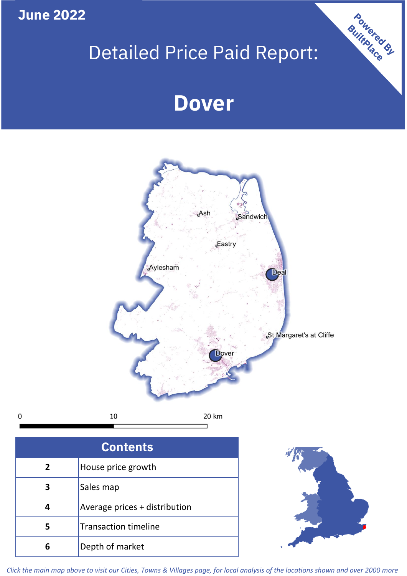**June 2022**

 $\mathbf 0$ 

# Detailed Price Paid Report:

# **Dover**



| <b>Contents</b> |                               |  |  |
|-----------------|-------------------------------|--|--|
| $\overline{2}$  | House price growth            |  |  |
| 3               | Sales map                     |  |  |
| 4               | Average prices + distribution |  |  |
| 5               | <b>Transaction timeline</b>   |  |  |
| 6               | Depth of market               |  |  |



Powered By

*Click the main map above to visit our Cities, Towns & Villages page, for local analysis of the locations shown and over 2000 more*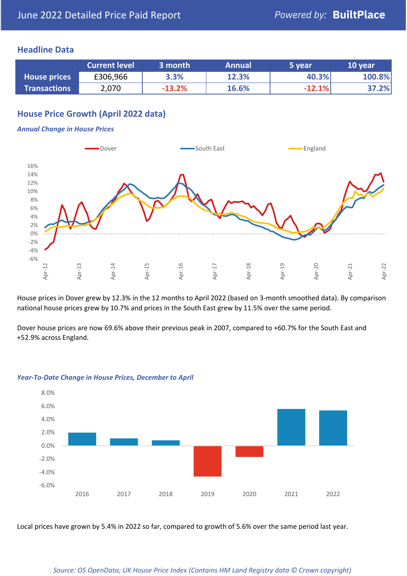# **Headline Data**

|                     | <b>Current level</b> | 3 month  | <b>Annual</b> | '5 vear  | 10 year |
|---------------------|----------------------|----------|---------------|----------|---------|
| <b>House prices</b> | £306,966             | 3.3%     | 12.3%         | 40.3%    | 100.8%  |
| <b>Transactions</b> | 2,070                | $-13.2%$ | 16.6%         | $-12.1%$ | 37.2%   |

# **House Price Growth (April 2022 data)**

#### *Annual Change in House Prices*



House prices in Dover grew by 12.3% in the 12 months to April 2022 (based on 3-month smoothed data). By comparison national house prices grew by 10.7% and prices in the South East grew by 11.5% over the same period.

Dover house prices are now 69.6% above their previous peak in 2007, compared to +60.7% for the South East and +52.9% across England.



#### *Year-To-Date Change in House Prices, December to April*

Local prices have grown by 5.4% in 2022 so far, compared to growth of 5.6% over the same period last year.

#### *Source: OS OpenData; UK House Price Index (Contains HM Land Registry data © Crown copyright)*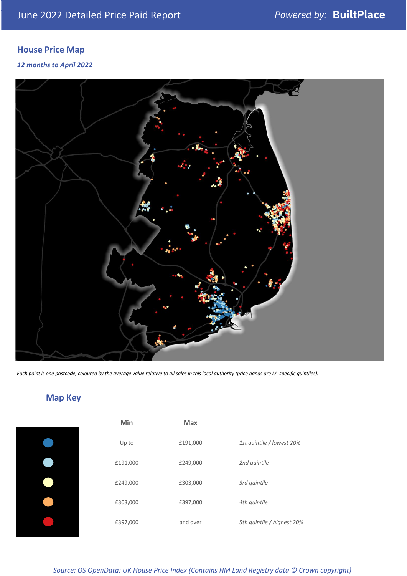# **House Price Map**

### *12 months to April 2022*



*Each point is one postcode, coloured by the average value relative to all sales in this local authority (price bands are LA-specific quintiles).*

# **Map Key**

| Min      | <b>Max</b> |                            |
|----------|------------|----------------------------|
| Up to    | £191,000   | 1st quintile / lowest 20%  |
| £191,000 | £249,000   | 2nd quintile               |
| £249,000 | £303,000   | 3rd quintile               |
| £303,000 | £397,000   | 4th quintile               |
| £397,000 | and over   | 5th quintile / highest 20% |

*Source: OS OpenData; UK House Price Index (Contains HM Land Registry data © Crown copyright)*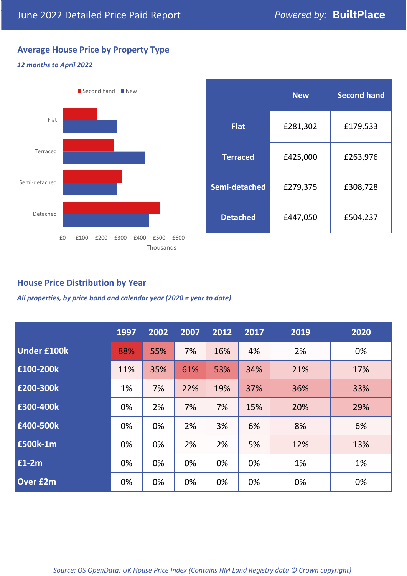# **Average House Price by Property Type**

### *12 months to April 2022*



|                 | <b>New</b> | <b>Second hand</b> |  |  |
|-----------------|------------|--------------------|--|--|
| <b>Flat</b>     | £281,302   | £179,533           |  |  |
| <b>Terraced</b> | £425,000   | £263,976           |  |  |
| Semi-detached   | £279,375   | £308,728           |  |  |
| <b>Detached</b> | £447,050   | £504,237           |  |  |

# **House Price Distribution by Year**

*All properties, by price band and calendar year (2020 = year to date)*

|                    | 1997 | 2002 | 2007 | 2012 | 2017 | 2019 | 2020 |
|--------------------|------|------|------|------|------|------|------|
| <b>Under £100k</b> | 88%  | 55%  | 7%   | 16%  | 4%   | 2%   | 0%   |
| £100-200k          | 11%  | 35%  | 61%  | 53%  | 34%  | 21%  | 17%  |
| E200-300k          | 1%   | 7%   | 22%  | 19%  | 37%  | 36%  | 33%  |
| £300-400k          | 0%   | 2%   | 7%   | 7%   | 15%  | 20%  | 29%  |
| £400-500k          | 0%   | 0%   | 2%   | 3%   | 6%   | 8%   | 6%   |
| <b>£500k-1m</b>    | 0%   | 0%   | 2%   | 2%   | 5%   | 12%  | 13%  |
| £1-2m              | 0%   | 0%   | 0%   | 0%   | 0%   | 1%   | 1%   |
| <b>Over £2m</b>    | 0%   | 0%   | 0%   | 0%   | 0%   | 0%   | 0%   |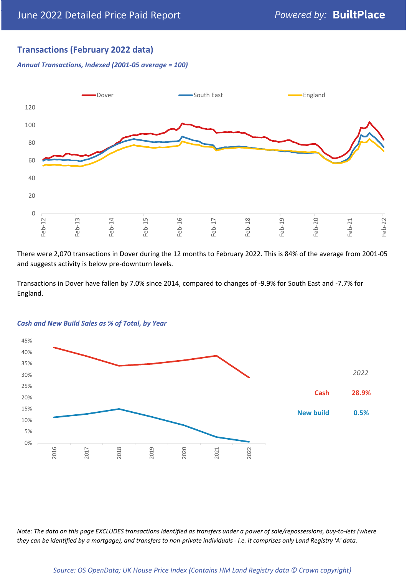# **Transactions (February 2022 data)**

*Annual Transactions, Indexed (2001-05 average = 100)*



There were 2,070 transactions in Dover during the 12 months to February 2022. This is 84% of the average from 2001-05 and suggests activity is below pre-downturn levels.

Transactions in Dover have fallen by 7.0% since 2014, compared to changes of -9.9% for South East and -7.7% for England.



#### *Cash and New Build Sales as % of Total, by Year*

*Note: The data on this page EXCLUDES transactions identified as transfers under a power of sale/repossessions, buy-to-lets (where they can be identified by a mortgage), and transfers to non-private individuals - i.e. it comprises only Land Registry 'A' data.*